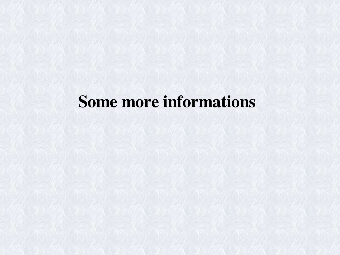# Some more informations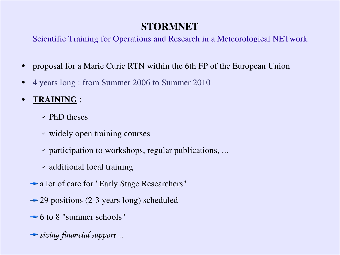## STORMNET

Scientific Training for Operations and Research in a Meteorological NETwork

- proposal for a Marie Curie RTN within the 6th FP of the European Union
- 4 years long : from Summer 2006 to Summer 2010
- TRAINING :
	- $\sim$  PhD theses
	- ✔ widely open training courses
	- $\gamma$  participation to workshops, regular publications, ...
	- ✔ additional local training
	- a lot of care for "Early Stage Researchers"
	- $\rightarrow$  29 positions (2-3 years long) scheduled
	- $\rightarrow$  6 to 8 "summer schools"
	- *sizing financial support ...*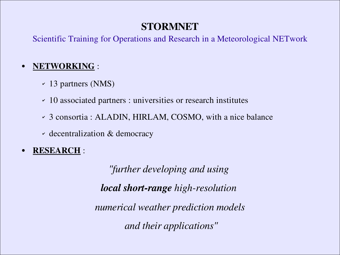#### STORMNET

Scientific Training for Operations and Research in a Meteorological NETwork

#### NETWORKING :

- ✔ 13 partners (NMS)
- ✔ 10 associated partners : universities or research institutes
- ✔ 3 consortia : ALADIN, HIRLAM, COSMO, with a nice balance
- ✔ decentralization & democracy
- RESEARCH :

*"further developing and using local short-range high-resolution numerical weather prediction models and their applications"*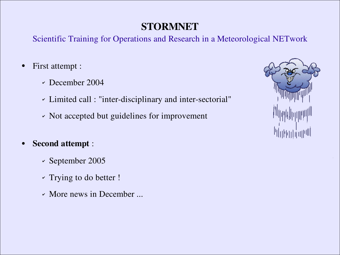#### STORMNET

Scientific Training for Operations and Research in a Meteorological NETwork

- First attempt :
	- ✔ December 2004
	- Limited call : "inter-disciplinary and inter-sectorial"
	- ✔ Not accepted but guidelines for improvement

#### **Second attempt :**

- ✔ September 2005
- ✔ Trying to do better !
- ✔ More news in December ...

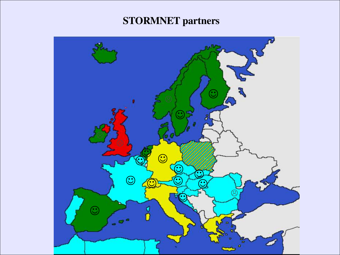## STORMNET partners

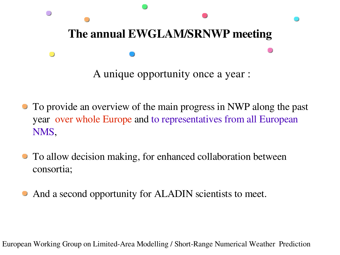

- To provide an overview of the main progress in NWP along the past year over whole Europe and to representatives from all European NMS,
- To allow decision making, for enhanced collaboration between consortia;
- And a second opportunity for ALADIN scientists to meet.

European Working Group on Limited-Area Modelling / Short-Range Numerical Weather Prediction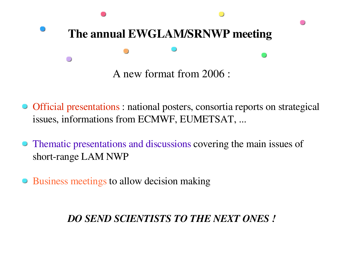

- Official presentations : national posters, consortia reports on strategical issues, informations from ECMWF, EUMETSAT, ...
- Thematic presentations and discussions covering the main issues of short-range LAM NWP
- Business meetings to allow decision making

#### *DO SEND SCIENTISTS TO THE NEXT ONES !*